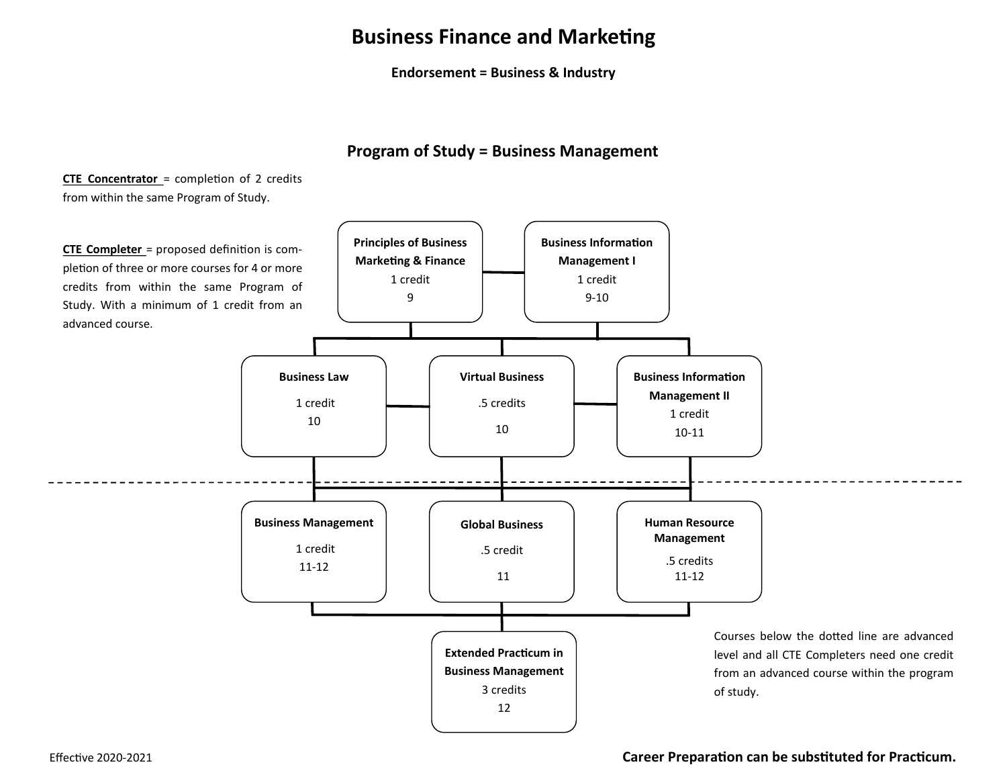**Endorsement = Business & Industry**

#### **Program of Study = Business Management**

**CTE Concentrator** = completion of 2 credits from within the same Program of Study.

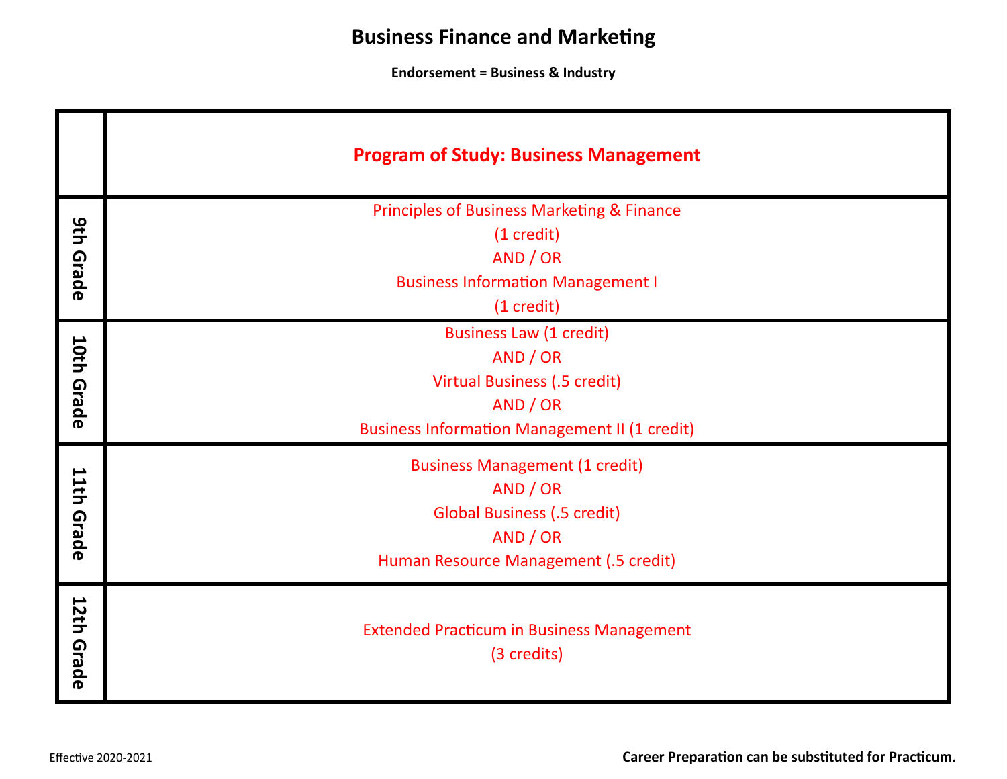**Endorsement = Business & Industry**

|                  | <b>Program of Study: Business Management</b>                                                                                                                  |
|------------------|---------------------------------------------------------------------------------------------------------------------------------------------------------------|
| <b>9th Grade</b> | <b>Principles of Business Marketing &amp; Finance</b><br>$(1 \text{ credit})$<br>AND / OR<br><b>Business Information Management I</b><br>$(1 \text{ credit})$ |
| 10th Grade       | <b>Business Law (1 credit)</b><br>AND / OR<br><b>Virtual Business (.5 credit)</b><br>AND / OR<br><b>Business Information Management II (1 credit)</b>         |
| 11th Grade       | <b>Business Management (1 credit)</b><br>AND / OR<br><b>Global Business (.5 credit)</b><br>AND / OR<br>Human Resource Management (.5 credit)                  |
| 12th Grade       | <b>Extended Practicum in Business Management</b><br>(3 credits)                                                                                               |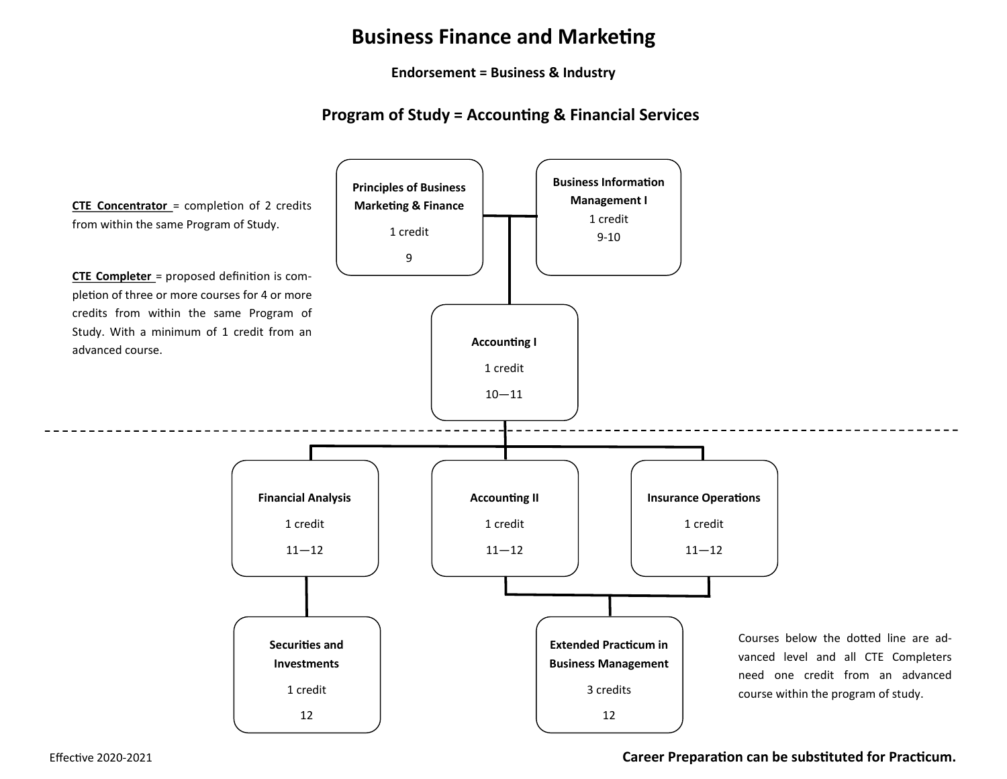**Endorsement = Business & Industry**

### **Program of Study = Accounting & Financial Services**

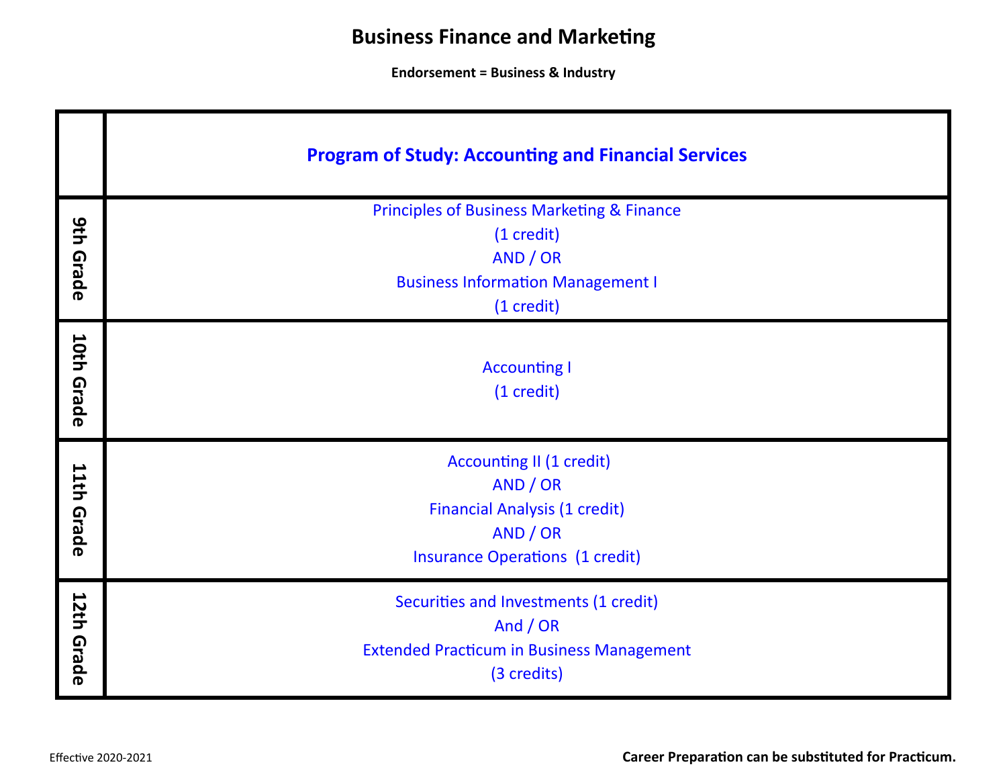**Endorsement = Business & Industry**

|            | <b>Program of Study: Accounting and Financial Services</b>                                                                                |
|------------|-------------------------------------------------------------------------------------------------------------------------------------------|
| 9th Grade  | <b>Principles of Business Marketing &amp; Finance</b><br>(1 credit)<br>AND / OR<br><b>Business Information Management I</b><br>(1 credit) |
| 10th Grade | <b>Accounting I</b><br>(1 credit)                                                                                                         |
| 11th Grade | <b>Accounting II (1 credit)</b><br>AND / OR<br><b>Financial Analysis (1 credit)</b><br>AND / OR<br><b>Insurance Operations (1 credit)</b> |
| 12th Grade | Securities and Investments (1 credit)<br>And / OR<br><b>Extended Practicum in Business Management</b><br>(3 credits)                      |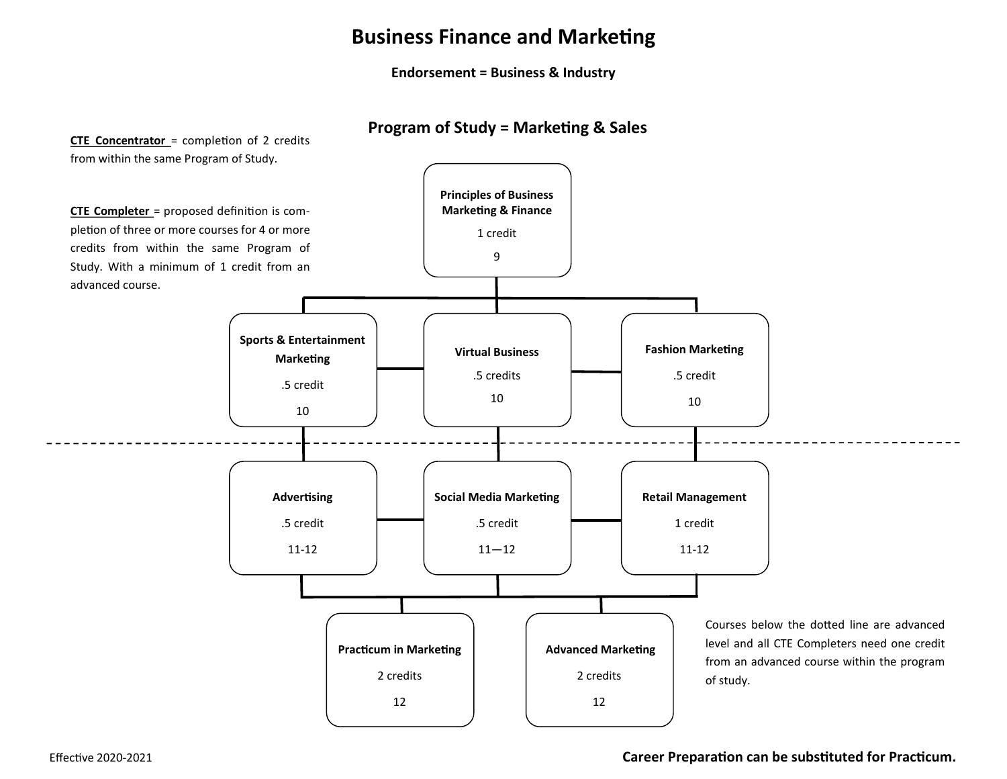**Endorsement = Business & Industry**

#### **Program of Study = Marketing & Sales**